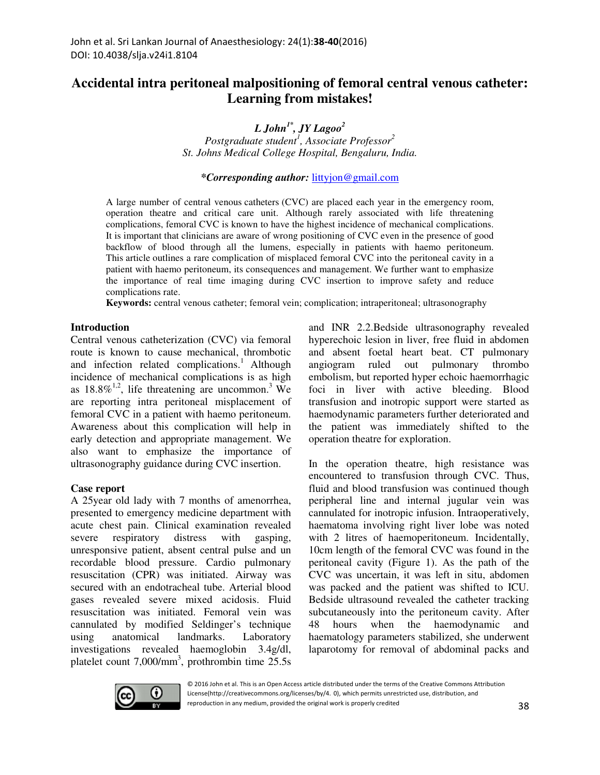# **Accidental intra peritoneal malpositioning of femoral central venous catheter: Learning from mistakes!**

*L John1\*, JY Lagoo<sup>2</sup>*

*Postgraduate student<sup>1</sup> , Associate Professor<sup>2</sup> St. Johns Medical College Hospital, Bengaluru, India.* 

*\*Corresponding author:* littyjon@gmail.com

A large number of central venous catheters (CVC) are placed each year in the emergency room, operation theatre and critical care unit. Although rarely associated with life threatening complications, femoral CVC is known to have the highest incidence of mechanical complications. It is important that clinicians are aware of wrong positioning of CVC even in the presence of good backflow of blood through all the lumens, especially in patients with haemo peritoneum. This article outlines a rare complication of misplaced femoral CVC into the peritoneal cavity in a patient with haemo peritoneum, its consequences and management. We further want to emphasize the importance of real time imaging during CVC insertion to improve safety and reduce complications rate.

**Keywords:** central venous catheter; femoral vein; complication; intraperitoneal; ultrasonography

#### **Introduction**

Central venous catheterization (CVC) via femoral route is known to cause mechanical, thrombotic and infection related complications.<sup>1</sup> Although incidence of mechanical complications is as high as  $18.8\%^{1,2}$ , life threatening are uncommon.<sup>3</sup> We are reporting intra peritoneal misplacement of femoral CVC in a patient with haemo peritoneum. Awareness about this complication will help in early detection and appropriate management. We also want to emphasize the importance of ultrasonography guidance during CVC insertion.

#### **Case report**

A 25year old lady with 7 months of amenorrhea, presented to emergency medicine department with acute chest pain. Clinical examination revealed severe respiratory distress with gasping, unresponsive patient, absent central pulse and un recordable blood pressure. Cardio pulmonary resuscitation (CPR) was initiated. Airway was secured with an endotracheal tube. Arterial blood gases revealed severe mixed acidosis. Fluid resuscitation was initiated. Femoral vein was cannulated by modified Seldinger's technique using anatomical landmarks. Laboratory investigations revealed haemoglobin 3.4g/dl, platelet count 7,000/mm<sup>3</sup>, prothrombin time 25.5s and INR 2.2.Bedside ultrasonography revealed hyperechoic lesion in liver, free fluid in abdomen and absent foetal heart beat. CT pulmonary angiogram ruled out pulmonary thrombo embolism, but reported hyper echoic haemorrhagic foci in liver with active bleeding. Blood transfusion and inotropic support were started as haemodynamic parameters further deteriorated and the patient was immediately shifted to the operation theatre for exploration.

In the operation theatre, high resistance was encountered to transfusion through CVC. Thus, fluid and blood transfusion was continued though peripheral line and internal jugular vein was cannulated for inotropic infusion. Intraoperatively, haematoma involving right liver lobe was noted with 2 litres of haemoperitoneum. Incidentally, 10cm length of the femoral CVC was found in the peritoneal cavity (Figure 1). As the path of the CVC was uncertain, it was left in situ, abdomen was packed and the patient was shifted to ICU. Bedside ultrasound revealed the catheter tracking subcutaneously into the peritoneum cavity. After 48 hours when the haemodynamic and haematology parameters stabilized, she underwent laparotomy for removal of abdominal packs and



© 2016 John et al. This is an Open Access article distributed under the terms of the Creative Commons Attribution License(http://creativecommons.org/licenses/by/4. 0), which permits unrestricted use, distribution, and reproduction in any medium, provided the original work is properly credited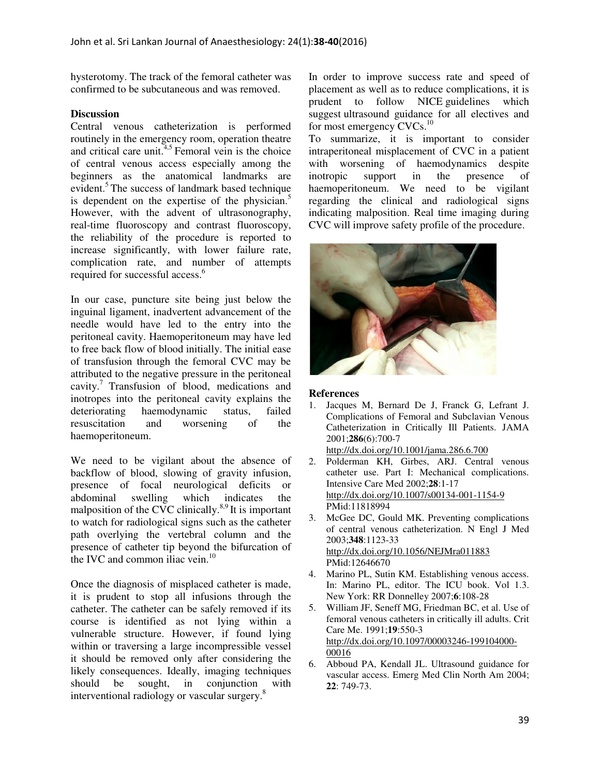hysterotomy. The track of the femoral catheter was confirmed to be subcutaneous and was removed.

## **Discussion**

Central venous catheterization is performed routinely in the emergency room, operation theatre and critical care unit. $4,5$  Femoral vein is the choice of central venous access especially among the beginners as the anatomical landmarks are evident.<sup>5</sup> The success of landmark based technique is dependent on the expertise of the physician.<sup>5</sup> However, with the advent of ultrasonography, real-time fluoroscopy and contrast fluoroscopy, the reliability of the procedure is reported to increase significantly, with lower failure rate, complication rate, and number of attempts required for successful access.<sup>6</sup>

In our case, puncture site being just below the inguinal ligament, inadvertent advancement of the needle would have led to the entry into the peritoneal cavity. Haemoperitoneum may have led to free back flow of blood initially. The initial ease of transfusion through the femoral CVC may be attributed to the negative pressure in the peritoneal cavity.<sup>7</sup> Transfusion of blood, medications and inotropes into the peritoneal cavity explains the deteriorating haemodynamic status, failed resuscitation and worsening of the haemoperitoneum.

We need to be vigilant about the absence of backflow of blood, slowing of gravity infusion, presence of focal neurological deficits or abdominal swelling which indicates the malposition of the CVC clinically. $8.9$  It is important to watch for radiological signs such as the catheter path overlying the vertebral column and the presence of catheter tip beyond the bifurcation of the IVC and common iliac vein. $10$ 

Once the diagnosis of misplaced catheter is made, it is prudent to stop all infusions through the catheter. The catheter can be safely removed if its course is identified as not lying within a vulnerable structure. However, if found lying within or traversing a large incompressible vessel it should be removed only after considering the likely consequences. Ideally, imaging techniques should be sought, in conjunction with interventional radiology or vascular surgery.<sup>8</sup>

In order to improve success rate and speed of placement as well as to reduce complications, it is prudent to follow NICE guidelines which suggest ultrasound guidance for all electives and for most emergency CVCs.<sup>10</sup>

To summarize, it is important to consider intraperitoneal misplacement of CVC in a patient with worsening of haemodynamics despite inotropic support in the presence of haemoperitoneum. We need to be vigilant regarding the clinical and radiological signs indicating malposition. Real time imaging during CVC will improve safety profile of the procedure.



### **References**

1. Jacques M, Bernard De J, Franck G, Lefrant J. Complications of Femoral and Subclavian Venous Catheterization in Critically Ill Patients. JAMA 2001;**286**(6):700-7

http://dx.doi.org/10.1001/jama.286.6.700

- 2. Polderman KH, Girbes, ARJ. Central venous catheter use. Part I: Mechanical complications. Intensive Care Med 2002;**28**:1-17 http://dx.doi.org/10.1007/s00134-001-1154-9 PMid:11818994
- 3. McGee DC, Gould MK. Preventing complications of central venous catheterization. N Engl J Med 2003;**348**:1123-33 http://dx.doi.org/10.1056/NEJMra011883 PMid:12646670
- 4. Marino PL, Sutin KM. Establishing venous access. In: Marino PL, editor. The ICU book. Vol 1.3. New York: RR Donnelley 2007;**6**:108-28
- 5. William JF, Seneff MG, Friedman BC, et al. Use of femoral venous catheters in critically ill adults. Crit Care Me. 1991;**19**:550-3 http://dx.doi.org/10.1097/00003246-199104000- 00016
- 6. Abboud PA, Kendall JL. Ultrasound guidance for vascular access. Emerg Med Clin North Am 2004; **22**: 749-73.